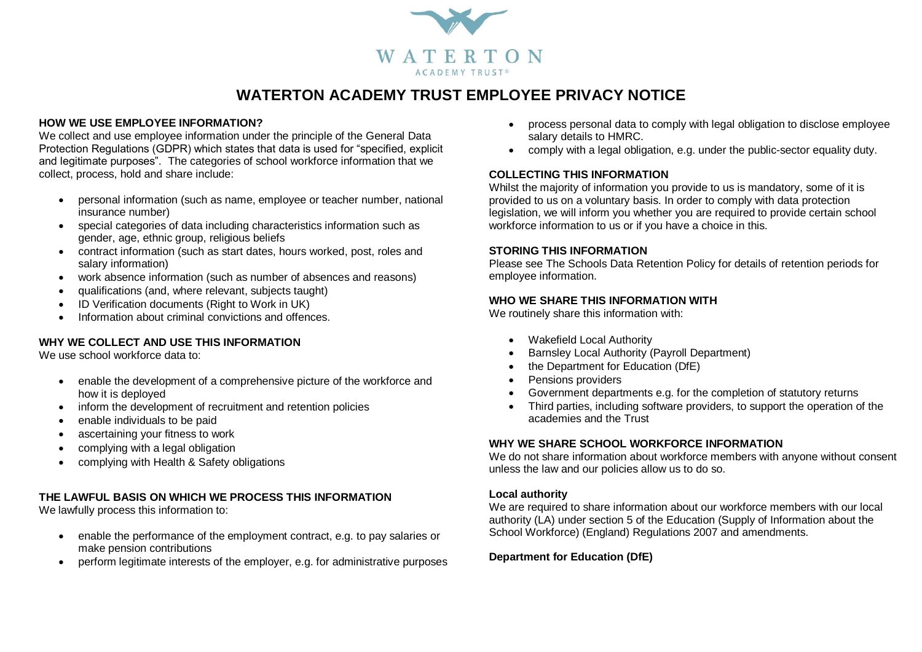

# **WATERTON ACADEMY TRUST EMPLOYEE PRIVACY NOTICE**

#### **HOW WE USE EMPLOYEE INFORMATION?**

We collect and use employee information under the principle of the General Data Protection Regulations (GDPR) which states that data is used for "specified, explicit and legitimate purposes". The categories of school workforce information that we collect, process, hold and share include:

- personal information (such as name, employee or teacher number, national insurance number)
- special categories of data including characteristics information such as gender, age, ethnic group, religious beliefs
- contract information (such as start dates, hours worked, post, roles and salary information)
- work absence information (such as number of absences and reasons)
- qualifications (and, where relevant, subjects taught)
- ID Verification documents (Right to Work in UK)
- Information about criminal convictions and offences.

## **WHY WE COLLECT AND USE THIS INFORMATION**

We use school workforce data to:

- enable the development of a comprehensive picture of the workforce and how it is deployed
- inform the development of recruitment and retention policies
- enable individuals to be paid
- ascertaining your fitness to work
- complying with a legal obligation
- complying with Health & Safety obligations

## **THE LAWFUL BASIS ON WHICH WE PROCESS THIS INFORMATION**

We lawfully process this information to:

- enable the performance of the employment contract, e.g. to pay salaries or make pension contributions
- perform legitimate interests of the employer, e.g. for administrative purposes
- process personal data to comply with legal obligation to disclose employee salary details to HMRC.
- comply with a legal obligation, e.g. under the public-sector equality duty.

#### **COLLECTING THIS INFORMATION**

Whilst the majority of information you provide to us is mandatory, some of it is provided to us on a voluntary basis. In order to comply with data protection legislation, we will inform you whether you are required to provide certain school workforce information to us or if you have a choice in this.

#### **STORING THIS INFORMATION**

Please see The Schools Data Retention Policy for details of retention periods for employee information.

#### **WHO WE SHARE THIS INFORMATION WITH**

We routinely share this information with:

- Wakefield Local Authority
- Barnsley Local Authority (Payroll Department)
- the Department for Education (DfE)
- Pensions providers
- Government departments e.g. for the completion of statutory returns
- Third parties, including software providers, to support the operation of the academies and the Trust

## **WHY WE SHARE SCHOOL WORKFORCE INFORMATION**

We do not share information about workforce members with anyone without consent unless the law and our policies allow us to do so.

#### **Local authority**

We are required to share information about our workforce members with our local authority (LA) under section 5 of the Education (Supply of Information about the School Workforce) (England) Regulations 2007 and amendments.

## **Department for Education (DfE)**